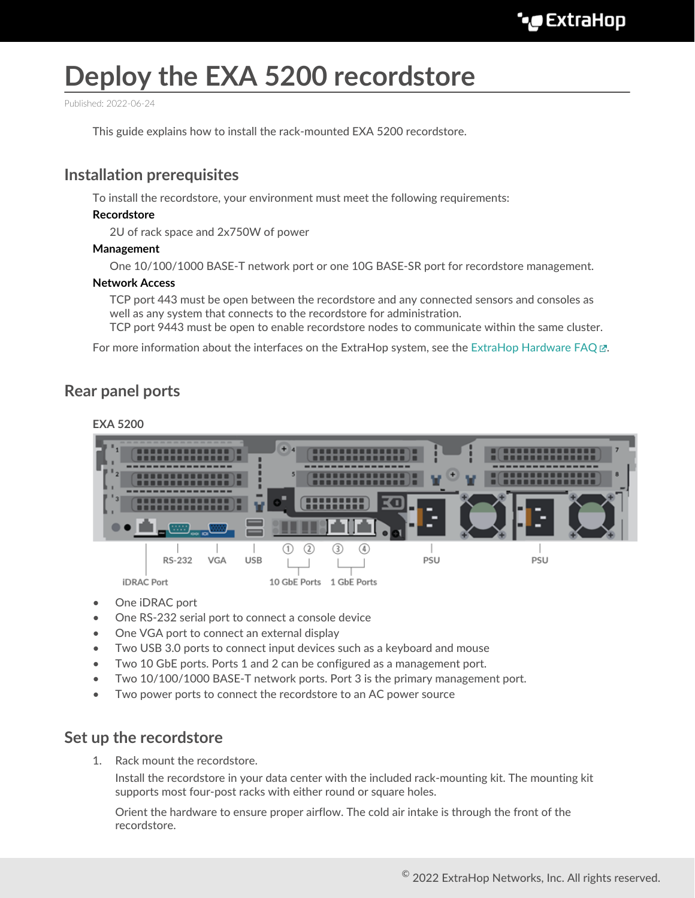# **Deploy the EXA 5200 recordstore**

Published: 2022-06-24

This guide explains how to install the rack-mounted EXA 5200 recordstore.

### **Installation prerequisites**

To install the recordstore, your environment must meet the following requirements:

#### **Recordstore**

2U of rack space and 2x750W of power

#### **Management**

One 10/100/1000 BASE-T network port or one 10G BASE-SR port for recordstore management.

#### **Network Access**

TCP port 443 must be open between the recordstore and any connected sensors and consoles as well as any system that connects to the recordstore for administration.

TCP port 9443 must be open to enable recordstore nodes to communicate within the same cluster.

For more information about the interfaces on the ExtraHop system, see the [ExtraHop Hardware FAQ .](https://docs.extrahop.com/8.9/app-hw-faq/#extrahop-hardware-faq)..

### **Rear panel ports**

#### **EXA 5200**



- One *iDRAC* port
- One RS-232 serial port to connect a console device
- One VGA port to connect an external display
- Two USB 3.0 ports to connect input devices such as a keyboard and mouse
- Two 10 GbE ports. Ports 1 and 2 can be configured as a management port.
- Two 10/100/1000 BASE-T network ports. Port 3 is the primary management port.
- Two power ports to connect the recordstore to an AC power source

### **Set up the recordstore**

1. Rack mount the recordstore.

Install the recordstore in your data center with the included rack-mounting kit. The mounting kit supports most four-post racks with either round or square holes.

Orient the hardware to ensure proper airflow. The cold air intake is through the front of the recordstore.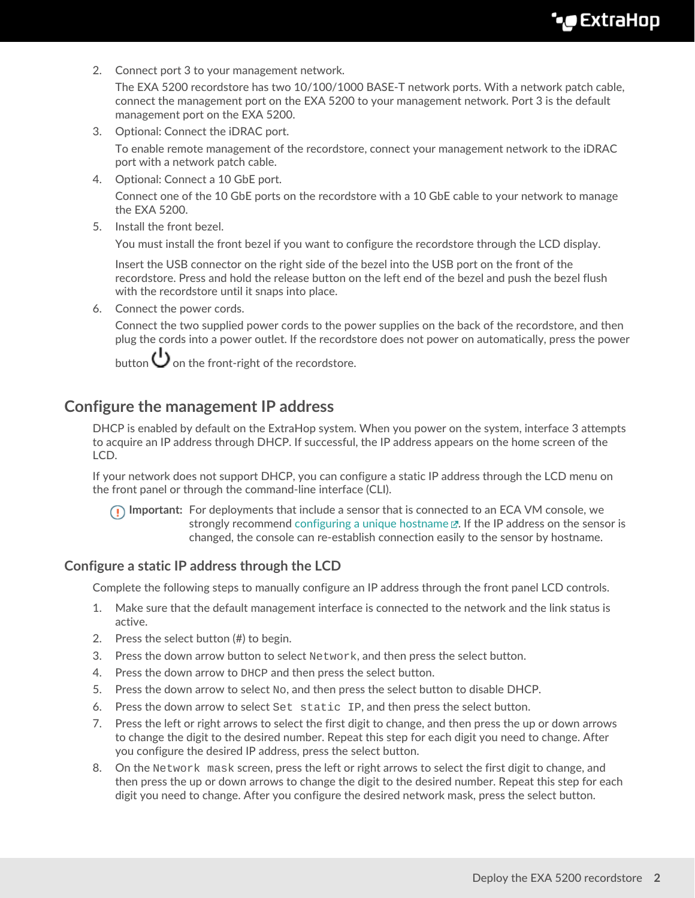# **∙e** ExtraHop

2. Connect port 3 to your management network.

The EXA 5200 recordstore has two 10/100/1000 BASE-T network ports. With a network patch cable, connect the management port on the EXA 5200 to your management network. Port 3 is the default management port on the EXA 5200.

3. Optional: Connect the iDRAC port.

To enable remote management of the recordstore, connect your management network to the iDRAC port with a network patch cable.

4. Optional: Connect a 10 GbE port.

Connect one of the 10 GbE ports on the recordstore with a 10 GbE cable to your network to manage the EXA 5200.

5. Install the front bezel.

You must install the front bezel if you want to configure the recordstore through the LCD display.

Insert the USB connector on the right side of the bezel into the USB port on the front of the recordstore. Press and hold the release button on the left end of the bezel and push the bezel flush with the recordstore until it snaps into place.

6. Connect the power cords.

Connect the two supplied power cords to the power supplies on the back of the recordstore, and then plug the cords into a power outlet. If the recordstore does not power on automatically, press the power

button  $\bigcup$  on the front-right of the recordstore.

### **Configure the management IP address**

DHCP is enabled by default on the ExtraHop system. When you power on the system, interface 3 attempts to acquire an IP address through DHCP. If successful, the IP address appears on the home screen of the LCD.

If your network does not support DHCP, you can configure a static IP address through the LCD menu on the front panel or through the command-line interface (CLI).

**Important:** For deployments that include a sensor that is connected to an ECA VM console, we strongly recommend configuring a unique hostname  $\mathbb E$ . If the IP address on the sensor is changed, the console can re-establish connection easily to the sensor by hostname.

#### **Configure a static IP address through the LCD**

Complete the following steps to manually configure an IP address through the front panel LCD controls.

- 1. Make sure that the default management interface is connected to the network and the link status is active.
- 2. Press the select button (#) to begin.
- 3. Press the down arrow button to select Network, and then press the select button.
- 4. Press the down arrow to DHCP and then press the select button.
- 5. Press the down arrow to select  $N_{\rm O}$ , and then press the select button to disable DHCP.
- 6. Press the down arrow to select Set static IP, and then press the select button.
- 7. Press the left or right arrows to select the first digit to change, and then press the up or down arrows to change the digit to the desired number. Repeat this step for each digit you need to change. After you configure the desired IP address, press the select button.
- 8. On the Network mask screen, press the left or right arrows to select the first digit to change, and then press the up or down arrows to change the digit to the desired number. Repeat this step for each digit you need to change. After you configure the desired network mask, press the select button.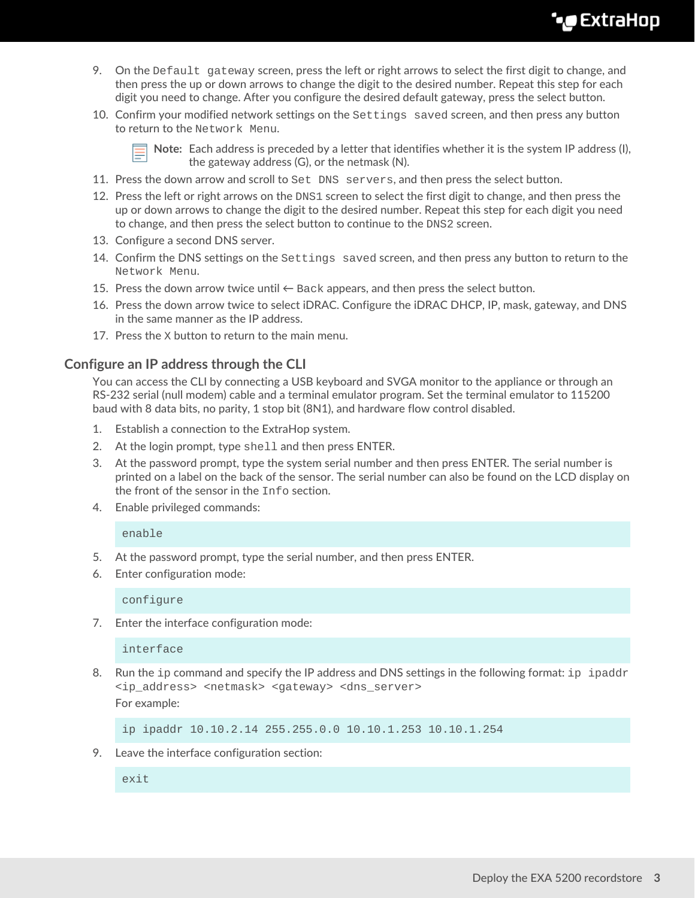# **∙e** ExtraHop

- 9. On the Default gateway screen, press the left or right arrows to select the first digit to change, and then press the up or down arrows to change the digit to the desired number. Repeat this step for each digit you need to change. After you configure the desired default gateway, press the select button.
- 10. Confirm your modified network settings on the Settings saved screen, and then press any button to return to the Network Menu.

**Note:** Each address is preceded by a letter that identifies whether it is the system IP address (I), the gateway address (G), or the netmask (N).

- 11. Press the down arrow and scroll to Set DNS servers, and then press the select button.
- 12. Press the left or right arrows on the DNS1 screen to select the first digit to change, and then press the up or down arrows to change the digit to the desired number. Repeat this step for each digit you need to change, and then press the select button to continue to the DNS2 screen.
- 13. Configure a second DNS server.
- 14. Confirm the DNS settings on the Settings saved screen, and then press any button to return to the Network Menu.
- 15. Press the down arrow twice until  $\leftarrow$  Back appears, and then press the select button.
- 16. Press the down arrow twice to select iDRAC. Configure the iDRAC DHCP, IP, mask, gateway, and DNS in the same manner as the IP address.
- 17. Press the X button to return to the main menu.

#### **Configure an IP address through the CLI**

You can access the CLI by connecting a USB keyboard and SVGA monitor to the appliance or through an RS-232 serial (null modem) cable and a terminal emulator program. Set the terminal emulator to 115200 baud with 8 data bits, no parity, 1 stop bit (8N1), and hardware flow control disabled.

- 1. Establish a connection to the ExtraHop system.
- 2. At the login prompt, type shell and then press ENTER.
- 3. At the password prompt, type the system serial number and then press ENTER. The serial number is printed on a label on the back of the sensor. The serial number can also be found on the LCD display on the front of the sensor in the Info section.
- 4. Enable privileged commands:

enable

- 5. At the password prompt, type the serial number, and then press ENTER.
- 6. Enter configuration mode:

configure

7. Enter the interface configuration mode:

interface

8. Run the ip command and specify the IP address and DNS settings in the following format: ip ipaddr <ip\_address> <netmask> <gateway> <dns\_server> For example:

ip ipaddr 10.10.2.14 255.255.0.0 10.10.1.253 10.10.1.254

9. Leave the interface configuration section:

exit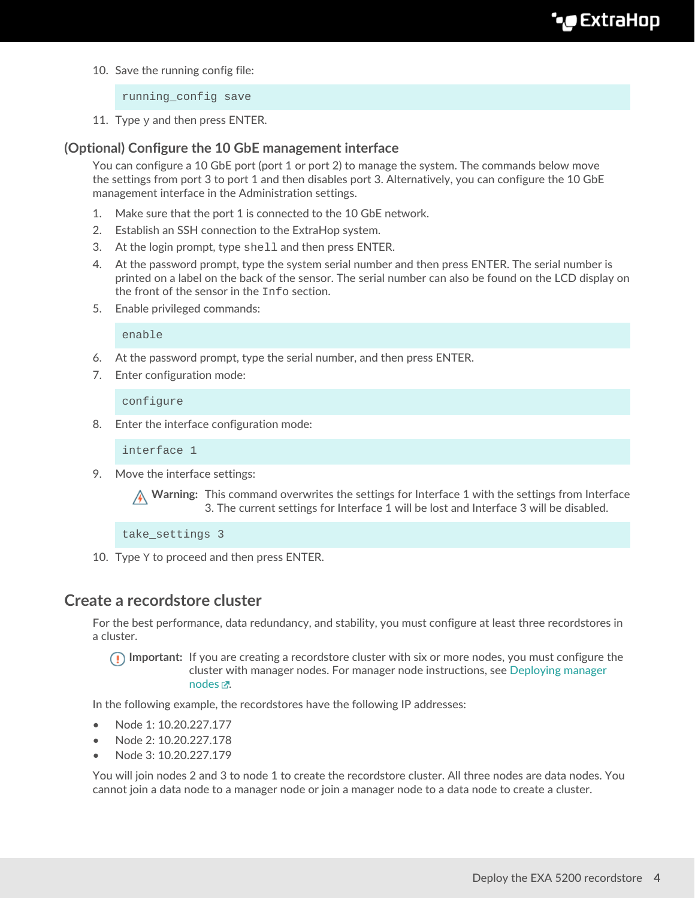10. Save the running config file:

running\_config save

11. Type  $y$  and then press ENTER.

#### **(Optional) Configure the 10 GbE management interface**

You can configure a 10 GbE port (port 1 or port 2) to manage the system. The commands below move the settings from port 3 to port 1 and then disables port 3. Alternatively, you can configure the 10 GbE management interface in the Administration settings.

- 1. Make sure that the port 1 is connected to the 10 GbE network.
- 2. Establish an SSH connection to the ExtraHop system.
- 3. At the login prompt, type shell and then press ENTER.
- 4. At the password prompt, type the system serial number and then press ENTER. The serial number is printed on a label on the back of the sensor. The serial number can also be found on the LCD display on the front of the sensor in the Info section.
- 5. Enable privileged commands:

enable

- 6. At the password prompt, type the serial number, and then press ENTER.
- 7. Enter configuration mode:

configure

8. Enter the interface configuration mode:

interface 1

9. Move the interface settings:

**A** Warning: This command overwrites the settings for Interface 1 with the settings from Interface 3. The current settings for Interface 1 will be lost and Interface 3 will be disabled.

take\_settings 3

10. Type Y to proceed and then press ENTER.

### **Create a recordstore cluster**

For the best performance, data redundancy, and stability, you must configure at least three recordstores in a cluster.

**Important:** If you are creating a recordstore cluster with six or more nodes, you must configure the cluster with manager nodes. For manager node instructions, see [Deploying manager](https://docs.extrahop.com/8.9/deploy-exa-master) nodes  $\mathbb{Z}$ .

In the following example, the recordstores have the following IP addresses:

- Node 1: 10.20.227.177
- Node 2: 10.20.227.178
- Node 3: 10.20.227.179

You will join nodes 2 and 3 to node 1 to create the recordstore cluster. All three nodes are data nodes. You cannot join a data node to a manager node or join a manager node to a data node to create a cluster.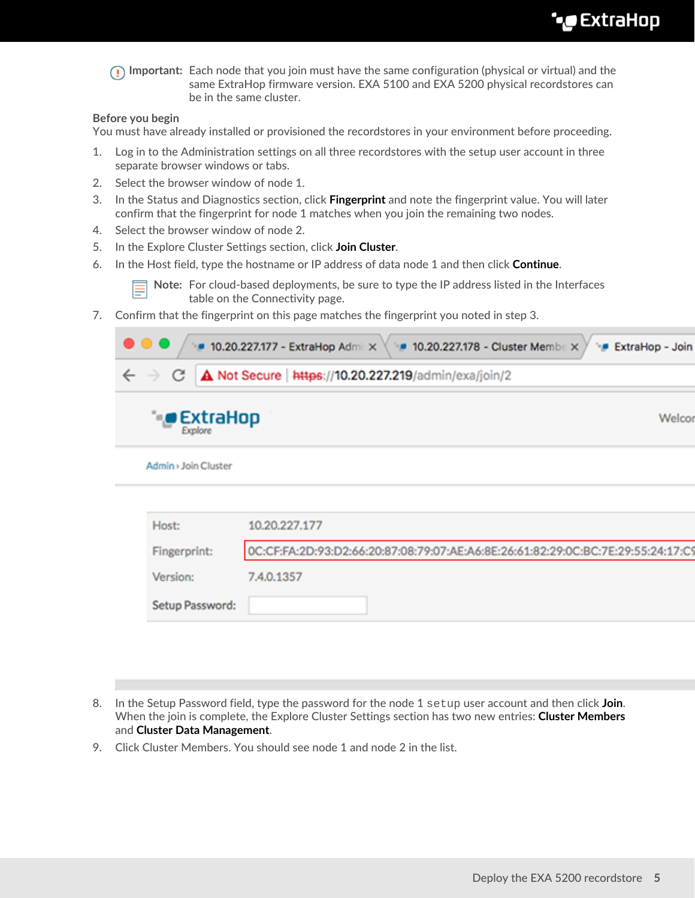# ExtraHop **@**

**Important:** Each node that you join must have the same configuration (physical or virtual) and the same ExtraHop firmware version. EXA 5100 and EXA 5200 physical recordstores can be in the same cluster.

#### **Before you begin**

You must have already installed or provisioned the recordstores in your environment before proceeding.

- 1. Log in to the Administration settings on all three recordstores with the setup user account in three separate browser windows or tabs.
- 2. Select the browser window of node 1.
- 3. In the Status and Diagnostics section, click **Fingerprint** and note the fingerprint value. You will later confirm that the fingerprint for node 1 matches when you join the remaining two nodes.
- 4. Select the browser window of node 2.
- 5. In the Explore Cluster Settings section, click **Join Cluster**.
- 6. In the Host field, type the hostname or IP address of data node 1 and then click **Continue**.

**Note:** For cloud-based deployments, be sure to type the IP address listed in the Interfaces table on the Connectivity page.

7. Confirm that the fingerprint on this page matches the fingerprint you noted in step 3.

| $\bullet\bullet\bullet$<br>■ 10.20.227.177 - ExtraHop Admi × ( ■ 10.20.227.178 - Cluster Membe × / * ■ ExtraHop - Join |        |
|------------------------------------------------------------------------------------------------------------------------|--------|
| $\leftarrow$ $\rightarrow$ $\mathbb{C}$   $\Delta$ Not Secure   https://10.20.227.219/admin/exa/join/2                 |        |
| $\bullet$ ExtraHop                                                                                                     | Welcor |
| Admin > Join Cluster                                                                                                   |        |

| Host:           | 10.20.227.177                                                                    |
|-----------------|----------------------------------------------------------------------------------|
| Fingerprint:    | OC:CF:FA:2D:93:D2:66:20:87:08:79:07:AE:A6:8E:26:61:82:29:OC:BC:7E:29:55:24:17:C9 |
| Version:        | 7.4.0.1357                                                                       |
| Setup Password: |                                                                                  |

- 8. In the Setup Password field, type the password for the node 1 setup user account and then click **Join**. When the join is complete, the Explore Cluster Settings section has two new entries: **Cluster Members** and **Cluster Data Management**.
- 9. Click Cluster Members. You should see node 1 and node 2 in the list.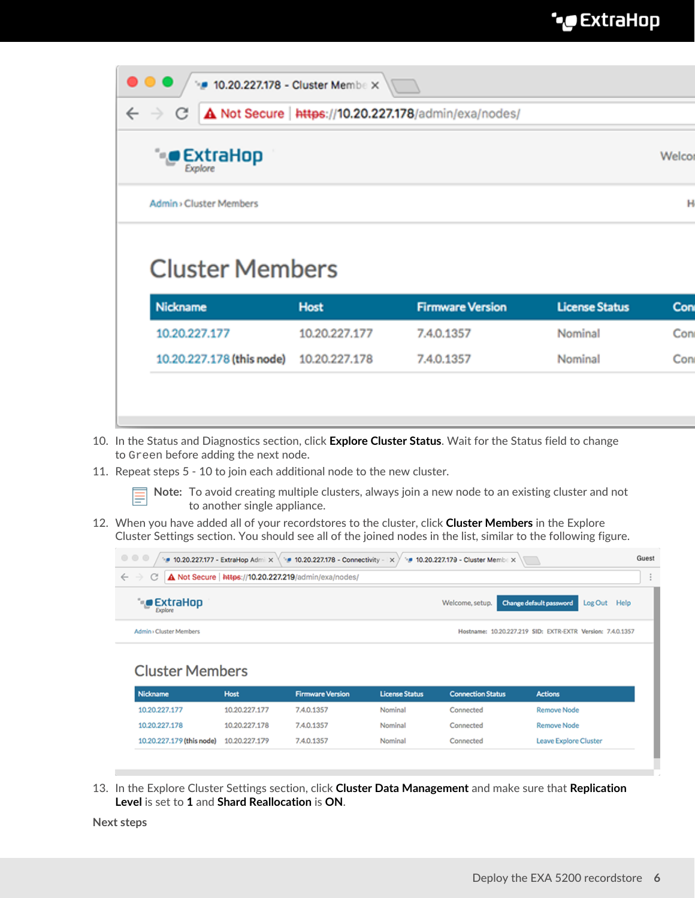| A Not Secure   https://10.20.227.178/admin/exa/nodes/<br>$\leftarrow$<br>С |               |                         |                       |        |  |  |  |  |
|----------------------------------------------------------------------------|---------------|-------------------------|-----------------------|--------|--|--|--|--|
| <b>ExtraHop</b><br>Explore                                                 |               |                         |                       | Welcor |  |  |  |  |
|                                                                            |               |                         |                       |        |  |  |  |  |
| <b>Admin</b> > Cluster Members                                             |               |                         |                       |        |  |  |  |  |
| <b>Cluster Members</b><br><b>Nickname</b>                                  | <b>Host</b>   | <b>Firmware Version</b> | <b>License Status</b> | Con    |  |  |  |  |
| 10.20.227.177                                                              | 10.20.227.177 | 7.4.0.1357              | Nominal               | Con    |  |  |  |  |

- 10. In the Status and Diagnostics section, click **Explore Cluster Status**. Wait for the Status field to change to Green before adding the next node.
- 11. Repeat steps 5 10 to join each additional node to the new cluster.

10.20.227.178

**Note:** To avoid creating multiple clusters, always join a new node to an existing cluster and not to another single appliance.

12. When you have added all of your recordstores to the cluster, click **Cluster Members** in the Explore Cluster Settings section. You should see all of the joined nodes in the list, similar to the following figure.

| $\begin{array}{c} \circ \\ \circ \\ \circ \end{array}$<br>• 10.20.227.177 - ExtraHop Admi $\times$ \ * 10.20.227.178 - Connectivity - $\times$ )<br>• 10.20.227.179 - Cluster Member X |               |                         |                       |                          |                                                            |  |  |  |
|----------------------------------------------------------------------------------------------------------------------------------------------------------------------------------------|---------------|-------------------------|-----------------------|--------------------------|------------------------------------------------------------|--|--|--|
| A Not Secure   https://10.20.227.219/admin/exa/nodes/<br>$\leftarrow$ $\rightarrow$<br>C                                                                                               |               |                         |                       |                          |                                                            |  |  |  |
| * <b>©</b> ExtraHop<br><b>Explore</b>                                                                                                                                                  |               |                         |                       | Welcome, setup.          | Change default password<br>Log Out Help                    |  |  |  |
| Admin > Cluster Members                                                                                                                                                                |               |                         |                       |                          | Hostname: 10.20.227.219 SID: EXTR-EXTR Version: 7.4.0.1357 |  |  |  |
| <b>Cluster Members</b>                                                                                                                                                                 |               |                         |                       |                          |                                                            |  |  |  |
| Nickname                                                                                                                                                                               | Host          | <b>Firmware Version</b> | <b>License Status</b> | <b>Connection Status</b> | <b>Actions</b>                                             |  |  |  |
| 10.20.227.177                                                                                                                                                                          | 10.20.227.177 | 7.4.0.1357              | Nominal               | Connected                | <b>Remove Node</b>                                         |  |  |  |

Nominal

Nominal

Connected

Connected

13. In the Explore Cluster Settings section, click **Cluster Data Management** and make sure that **Replication Level** is set to **1** and **Shard Reallocation** is **ON**.

7.4.0.1357

7.4.0.1357

**Next steps**

10.20.227.178

10.20.227.179 (this node) 10.20.227.179

**Remove Node** 

Leave Explore Cluster